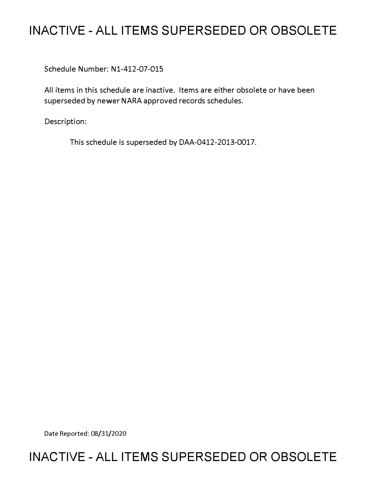# **INACTIVE - ALL ITEMS SUPERSEDED OR OBSOLETE**

Schedule Number: Nl-412-07-015

All items in this schedule are inactive. Items are either obsolete or have been superseded by newer NARA approved records schedules.

Description:

This schedule is superseded by DAA-0412-2013-0017.

Date Reported: 08/31/2020

## **INACTIVE - ALL ITEMS SUPERSEDED OR OBSOLETE**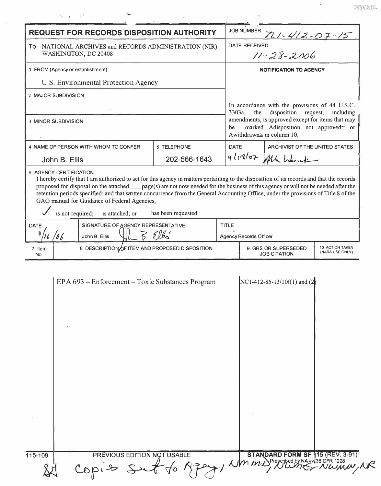| <b>REQUEST FOR RECORDS DISPOSITION AUTHORITY</b>                               |                                                                                                                                                                                                                                                                                                                                                                                                                                                                                                                                                      |                     |                               | <b>JOB NUMBER</b><br>$71 - 412 - 07 - 15$                                                                                                                                                                                      |  |  |
|--------------------------------------------------------------------------------|------------------------------------------------------------------------------------------------------------------------------------------------------------------------------------------------------------------------------------------------------------------------------------------------------------------------------------------------------------------------------------------------------------------------------------------------------------------------------------------------------------------------------------------------------|---------------------|-------------------------------|--------------------------------------------------------------------------------------------------------------------------------------------------------------------------------------------------------------------------------|--|--|
| To: NATIONAL ARCHIVES and RECORDS ADMINISTRATION (NIR)<br>WASHINGTON, DC 20408 |                                                                                                                                                                                                                                                                                                                                                                                                                                                                                                                                                      |                     |                               | <b>DATE RECEIVED</b><br>$11 - 28 - 2006$                                                                                                                                                                                       |  |  |
| 1 FROM (Agency or establishment)                                               |                                                                                                                                                                                                                                                                                                                                                                                                                                                                                                                                                      |                     | <b>NOTIFICATION TO AGENCY</b> |                                                                                                                                                                                                                                |  |  |
| U.S. Environmental Protection Agency                                           |                                                                                                                                                                                                                                                                                                                                                                                                                                                                                                                                                      |                     |                               |                                                                                                                                                                                                                                |  |  |
| 2 MAJOR SUBDIVISION                                                            |                                                                                                                                                                                                                                                                                                                                                                                                                                                                                                                                                      |                     |                               |                                                                                                                                                                                                                                |  |  |
|                                                                                | 3 MINOR SUBDIVISION                                                                                                                                                                                                                                                                                                                                                                                                                                                                                                                                  |                     | he                            | In accordance with the provisions of 44 U.S.C.<br>disposition request,<br>3303a,<br>the<br>including<br>amendments, is approved except for items that may<br>marked Adisposition not approved≅ or<br>Awithdrawn≅ in column 10. |  |  |
| 4 NAME OF PERSON WITH WHOM TO CONFER                                           |                                                                                                                                                                                                                                                                                                                                                                                                                                                                                                                                                      | 5 TELEPHONE         | <b>DATE</b>                   | ARCHIVIST OF THE UNITED STATES                                                                                                                                                                                                 |  |  |
| John B. Ellis                                                                  |                                                                                                                                                                                                                                                                                                                                                                                                                                                                                                                                                      | 202-566-1643        |                               | 4/18/07 All Warnt                                                                                                                                                                                                              |  |  |
|                                                                                | <b>6 AGENCY CERTIFICATION</b><br>I hereby certify that I am authorized to act for this agency in matters pertaining to the disposition of its records and that the records<br>proposed for disposal on the attached $\_\_$ page(s) are not now needed for the business of this agency or will not be needed after the<br>retention periods specified; and that written concurrence from the General Accounting Office, under the provisions of Title 8 of the<br>GAO manual for Guidance of Federal Agencies,<br>is not required;<br>is attached; or | has been requested. |                               |                                                                                                                                                                                                                                |  |  |
| SIGNATURE OF AGENCY REPRESENTATIVE<br><b>DATE</b>                              |                                                                                                                                                                                                                                                                                                                                                                                                                                                                                                                                                      |                     | <b>TITLE</b>                  |                                                                                                                                                                                                                                |  |  |
|                                                                                | 16/06<br>John B. Ellis                                                                                                                                                                                                                                                                                                                                                                                                                                                                                                                               |                     |                               | <b>Agency Records Officer</b>                                                                                                                                                                                                  |  |  |
|                                                                                |                                                                                                                                                                                                                                                                                                                                                                                                                                                                                                                                                      |                     |                               |                                                                                                                                                                                                                                |  |  |

 $\sim$  NWML.

| 115-109 | PREVIOUS EDITION NOT USABLE |                                                                          |  |
|---------|-----------------------------|--------------------------------------------------------------------------|--|
|         | Copis Su                    | LE STANDARD FORM SF 115 (REV. 3-91)<br>A POSTAL MALL, NUMBRA 36 CFR 1228 |  |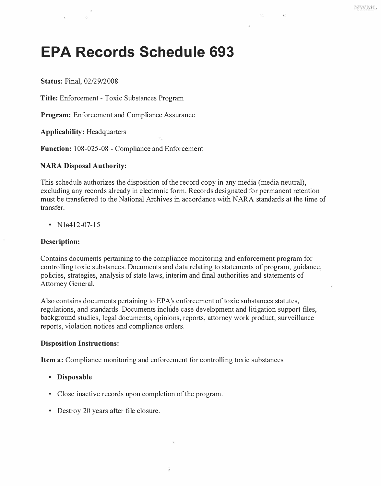# **EPA Records Schedule 693**

**Status:** Final, 02/29/2008

**Title:** Enforcement - Toxic Substances Program

**Program:** Enforcement and Compliance Assurance

**Applicability:** Headquarters

**Function:** 108-025-08 - Compliance and Enforcement

#### **NARA Disposal Authority:**

This schedule authorizes the disposition of the record copy in any media (media neutral), excluding any records already in electronic form. Records designated for permanent retention must be transferred to the National Archives in accordance with NARA standards at the time of transfer.

•  $N1e412-07-15$ 

#### **Description:**

Contains documents pertaining to the compliance monitoring and enforcement program for controlling toxic substances. Documents and data relating to statements of program, guidance, policies, strategies, analysis of state laws, interim and final authorities and statements of Attorney General.

Also contains documents pertaining to EPA's enforcement of toxic substances statutes, regulations, and standards. Documents include case development and litigation support files, background studies, legal documents, opinions, reports, attorney work product, surveillance reports, violation notices and compliance orders.

#### **Disposition Instructions:**

**Item a:** Compliance monitoring and enforcement for controlling toxic substances

- **Disposable**
- Close inactive records upon completion of the program.
- Destroy 20 years after file closure.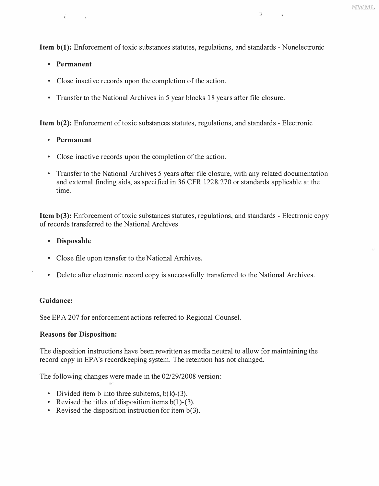**Item b(1):** Enforcement of toxic substances statutes, regulations, and standards - Nonelectronic

#### **• Permanent**

- Close inactive records upon the completion of the action.
- Transfer to the National Archives in 5 year blocks 18 years after file closure.

**Item b(2):** Enforcement of toxic substances statutes, regulations, and standards - Electronic

#### **• Permanent**

- Close inactive records upon the completion of the action.
- Transfer to the National Archives 5 years after file closure, with any related documentation and external finding aids, as specified in 36 CFR 1228.270 or standards applicable at the time.

**Item b(3):** Enforcement of toxic substances statutes, regulations, and standards - Electronic copy of records transferred to the National Archives

#### **• Disposable**

- Close file upon transfer to the National Archives.
- Delete after electronic record copy is successfully transferred to the National Archives.

#### **Guidance:**

See EPA 207 for enforcement actions referred to Regional Counsel.

#### **Reasons for Disposition:**

The disposition instructions have been rewritten as media neutral to allow for maintaining the record copy in EPA's recordkeeping system. The retention has not changed.

The following changes were made in the 02/29/2008 version:

- 
- Divided item b into three subitems,  $b(l)$ -(3).<br>• Revised the titles of disposition items  $b(l)$ -(3).<br>• Revised the disposition instruction for item  $b(3)$ .
-